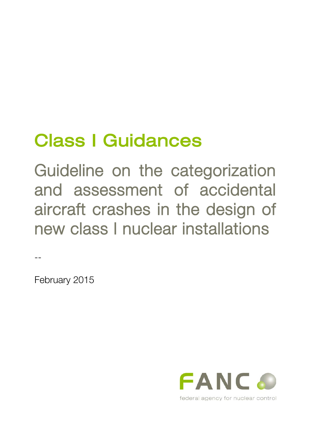# Class I Guidances

Guideline on the categorization and assessment of accidental aircraft crashes in the design of new class I nuclear installations

--

February 2015

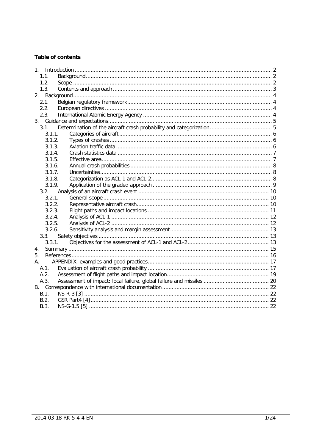# **Table of contents**

| $1 \quad$ |  |
|-----------|--|
| 1.1.      |  |
| 1.2.      |  |
| 1.3.      |  |
|           |  |
| 2.1.      |  |
| 2.2.      |  |
| 2.3.      |  |
|           |  |
| 3.1       |  |
| 3.1.1.    |  |
| 3.1.2.    |  |
| 3.1.3.    |  |
| 3.1.4.    |  |
| 3.1.5.    |  |
| 3.1.6.    |  |
| 3.1.7.    |  |
| 3.1.8.    |  |
| 3.1.9.    |  |
| 3.2.      |  |
| 3.2.1.    |  |
| 3.2.2.    |  |
| 3.2.3.    |  |
| 3.2.4.    |  |
| 3.2.5.    |  |
| 3.2.6.    |  |
| 3.3.      |  |
| 3.3.1.    |  |
| 4.        |  |
| 5.        |  |
| A.        |  |
| A.1       |  |
| A.2.      |  |
| A.3.      |  |
|           |  |
| B.1.      |  |
| B.2.      |  |
| B.3.      |  |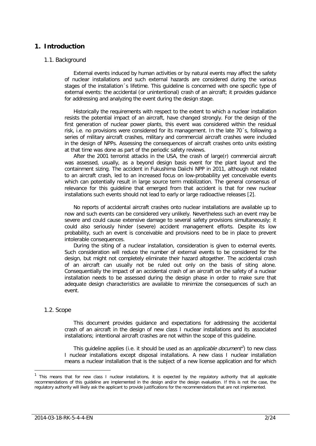# <span id="page-2-0"></span>**1. Introduction**

## <span id="page-2-1"></span>1.1. Background

External events induced by human activities or by natural events may affect the safety of nuclear installations and such external hazards are considered during the various stages of the installation´s lifetime. This guideline is concerned with one specific type of external events: the accidental (or unintentional) crash of an aircraft; it provides guidance for addressing and analyzing the event during the design stage.

Historically the requirements with respect to the extent to which a nuclear installation resists the potential impact of an aircraft, have changed strongly. For the design of the first generation of nuclear power plants, this event was considered within the residual risk, i.e. no provisions were considered for its management. In the late 70´s, following a series of military aircraft crashes, military and commercial aircraft crashes were included in the design of NPPs. Assessing the consequences of aircraft crashes onto units existing at that time was done as part of the periodic safety reviews.

After the 2001 terrorist attacks in the USA, the crash of large(r) commercial aircraft was assessed, usually, as a beyond design basis event for the plant layout and the containment sizing. The accident in Fukushima Daiichi NPP in 2011, although not related to an aircraft crash, led to an increased focus on low-probability yet conceivable events which can potentially result in large source term mobilization. The general consensus of relevance for this guideline that emerged from that accident is that for new nuclear installations such events should not lead to early or large radioactive releases [\[2\]](#page-16-1).

No reports of accidental aircraft crashes onto nuclear installations are available up to now and such events can be considered very unlikely. Nevertheless such an event may be severe and could cause extensive damage to several safety provisions simultaneously; it could also seriously hinder (severe) accident management efforts. Despite its low probability, such an event is conceivable and provisions need to be in place to prevent intolerable consequences.

During the siting of a nuclear installation, consideration is given to external events. Such consideration will reduce the number of external events to be considered for the design, but might not completely eliminate their hazard altogether. The accidental crash of an aircraft can usually not be ruled out only on the basis of siting alone. Consequentially the impact of an accidental crash of an aircraft on the safety of a nuclear installation needs to be assessed during the design phase in order to make sure that adequate design characteristics are available to minimize the consequences of such an event.

## <span id="page-2-2"></span>1.2. Scope

This document provides guidance and expectations for addressing the accidental crash of an aircraft in the design of new class I nuclear installations and its associated installations; intentional aircraft crashes are not within the scope of this guideline.

This guideline applies (i.e. it should be used as an *applicable document<sup>7</sup>*) to new class I nuclear installations except disposal installations. A new class I nuclear installation means a nuclear installation that is the subject of a new license application and for which

<span id="page-2-3"></span> <sup>1</sup> This means that for new class I nuclear installations, it is expected by the regulatory authority that all applicable recommendations of this guideline are implemented in the design and/or the design evaluation. If this is not the case, the regulatory authority will likely ask the applicant to provide justifications for the recommendations that are not implemented.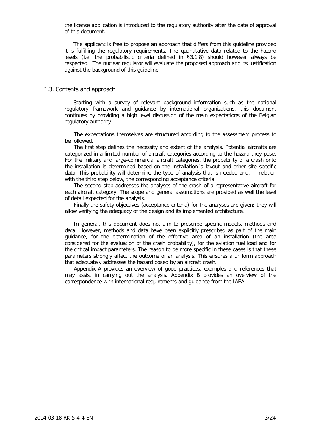the license application is introduced to the regulatory authority after the date of approval of this document.

The applicant is free to propose an approach that differs from this guideline provided it is fulfilling the regulatory requirements. The quantitative data related to the hazard levels (i.e. the probabilistic criteria defined in [§3.1.8\)](#page-8-2) should however always be respected. The nuclear regulator will evaluate the proposed approach and its justification against the background of this guideline.

#### <span id="page-3-0"></span>1.3. Contents and approach

Starting with a survey of relevant background information such as the national regulatory framework and guidance by international organizations, this document continues by providing a high level discussion of the main expectations of the Belgian regulatory authority.

The expectations themselves are structured according to the assessment process to be followed.

The first step defines the necessity and extent of the analysis. Potential aircrafts are categorized in a limited number of aircraft categories according to the hazard they pose. For the military and large-commercial aircraft categories, the probability of a crash onto the installation is determined based on the installation´s layout and other site specific data. This probability will determine the type of analysis that is needed and, in relation with the third step below, the corresponding acceptance criteria.

The second step addresses the analyses of the crash of a representative aircraft for each aircraft category. The scope and general assumptions are provided as well the level of detail expected for the analysis.

Finally the safety objectives (acceptance criteria) for the analyses are given; they will allow verifying the adequacy of the design and its implemented architecture.

In general, this document does not aim to prescribe specific models, methods and data. However, methods and data have been explicitly prescribed as part of the main guidance, for the determination of the effective area of an installation (the area considered for the evaluation of the crash probability), for the aviation fuel load and for the critical impact parameters. The reason to be more specific in these cases is that these parameters strongly affect the outcome of an analysis. This ensures a uniform approach that adequately addresses the hazard posed by an aircraft crash.

Appendix [A](#page-17-0) provides an overview of good practices, examples and references that may assist in carrying out the analysis. Appendix [B](#page-22-0) provides an overview of the correspondence with international requirements and guidance from the IAEA.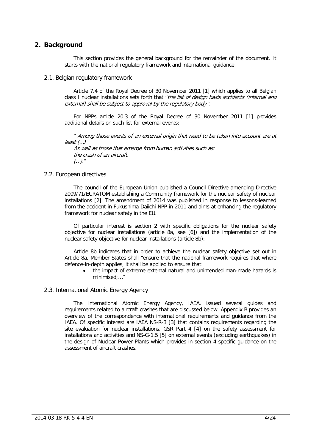# <span id="page-4-0"></span>**2. Background**

This section provides the general background for the remainder of the document. It starts with the national regulatory framework and international guidance.

<span id="page-4-1"></span>2.1. Belgian regulatory framework

Article 7.4 of the Royal Decree of 30 November 2011 [\[1\]](#page-16-2) which applies to all Belgian class I nuclear installations sets forth that "the list of design basis accidents (internal and external) shall be subject to approval by the regulatory body".

For NPPs article 20.3 of the Royal Decree of 30 November 2011 [\[1\]](#page-16-2) provides additional details on such list for external events:

" Among those events of an external origin that need to be taken into account are at least (…)

As well as those that emerge from human activities such as: the crash of an aircraft, (…)."

## <span id="page-4-2"></span>2.2. European directives

The council of the European Union published a Council Directive amending Directive 2009/71/EURATOM establishing a Community framework for the nuclear safety of nuclear installations [\[2\]](#page-16-1). The amendment of 2014 was published in response to lessons-learned from the accident in Fukushima Daiichi NPP in 2011 and aims at enhancing the regulatory framework for nuclear safety in the EU.

Of particular interest is section 2 with specific obligations for the nuclear safety objective for nuclear installations (article 8a, see [\[6\]](#page-16-3)) and the implementation of the nuclear safety objective for nuclear installations (article 8b):

Article 8b indicates that in order to achieve the nuclear safety objective set out in Article 8a, Member States shall "ensure that the national framework requires that where defence-in-depth applies, it shall be applied to ensure that:

• the impact of extreme external natural and unintended man-made hazards is minimised: "

# <span id="page-4-3"></span>2.3. International Atomic Energy Agency

The International Atomic Energy Agency, IAEA, issued several guides and requirements related to aircraft crashes that are discussed below. Appendix [B](#page-22-0) provides an overview of the correspondence with international requirements and guidance from the IAEA. Of specific interest are IAEA NS-R-3 [\[3\]](#page-16-4) that contains requirements regarding the site evaluation for nuclear installations, GSR Part 4 [\[4\]](#page-16-5) on the safety assessment for installations and activities and NS-G-1.5 [\[5\]](#page-16-6) on external events (excluding earthquakes) in the design of Nuclear Power Plants which provides in section 4 specific guidance on the assessment of aircraft crashes.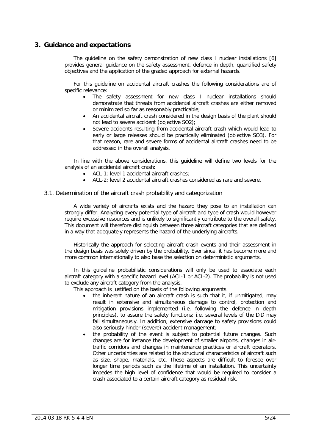# <span id="page-5-0"></span>**3. Guidance and expectations**

The guideline on the safety demonstration of new class I nuclear installations [\[6\]](#page-16-3) provides general guidance on the safety assessment, defence in depth, quantified safety objectives and the application of the graded approach for external hazards.

For this guideline on accidental aircraft crashes the following considerations are of specific relevance:

- The safety assessment for new class I nuclear installations should demonstrate that threats from accidental aircraft crashes are either removed or minimized so far as reasonably practicable;
- An accidental aircraft crash considered in the design basis of the plant should not lead to severe accident (objective SO2);
- Severe accidents resulting from accidental aircraft crash which would lead to early or large releases should be practically eliminated (objective SO3). For that reason, rare and severe forms of accidental aircraft crashes need to be addressed in the overall analysis.

In line with the above considerations, this guideline will define two levels for the analysis of an accidental aircraft crash:

- ACL-1: level 1 accidental aircraft crashes;
- ACL-2: level 2 accidental aircraft crashes considered as rare and severe.

#### <span id="page-5-1"></span>3.1. Determination of the aircraft crash probability and categorization

A wide variety of aircrafts exists and the hazard they pose to an installation can strongly differ. Analyzing every potential type of aircraft and type of crash would however require excessive resources and is unlikely to significantly contribute to the overall safety. This document will therefore distinguish between three aircraft categories that are defined in a way that adequately represents the hazard of the underlying aircrafts.

Historically the approach for selecting aircraft crash events and their assessment in the design basis was solely driven by the probability. Ever since, it has become more and more common internationally to also base the selection on deterministic arguments.

In this guideline probabilistic considerations will only be used to associate each aircraft category with a specific hazard level (ACL-1 or ACL-2). The probability is not used to exclude any aircraft category from the analysis.

This approach is justified on the basis of the following arguments:

- the inherent nature of an aircraft crash is such that it, if unmitigated, may result in extensive and simultaneous damage to control, protection and mitigation provisions implemented (i.e. following the defence in depth principles), to assure the safety functions; i.e. several levels of the DiD may fail simultaneously. In addition, extensive damage to safety provisions could also seriously hinder (severe) accident management;
- the probability of the event is subject to potential future changes. Such changes are for instance the development of smaller airports, changes in airtraffic corridors and changes in maintenance practices or aircraft operators. Other uncertainties are related to the structural characteristics of aircraft such as size, shape, materials, etc. These aspects are difficult to foresee over longer time periods such as the lifetime of an installation. This uncertainty impedes the high level of confidence that would be required to consider a crash associated to a certain aircraft category as residual risk.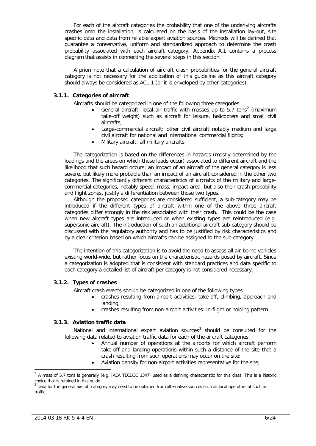For each of the aircraft categories the probability that one of the underlying aircrafts crashes onto the installation, is calculated on the basis of the installation lay-out, site specific data and data from reliable expert aviation sources. Methods will be defined that guarantee a conservative, uniform and standardized approach to determine the crash probability associated with each aircraft category. Appendix A.1 contains a process diagram that assists in connecting the several steps in this section.

A priori note that a calculation of aircraft crash probabilities for the general aircraft category is not necessary for the application of this guideline as this aircraft category should always be considered as ACL-1 (or it is enveloped by other categories).

## <span id="page-6-0"></span>**3.1.1. Categories of aircraft**

Aircrafts should be categorized in one of the following three categories:

- General aircraft: local air traffic with masses up to 5.7 tons<sup>[2](#page-6-3)</sup> (maximum take-off weight) such as aircraft for leisure, helicopters and small civil aircrafts;
- Large-commercial aircraft: other civil aircraft notably medium and large civil aircraft for national and international commercial flights;
- Military aircraft: all military aircrafts.

The categorization is based on the differences in hazards (mostly determined by the loadings and the areas on which these loads occur) associated to different aircraft and the likelihood that such hazard occurs: an impact of an aircraft of the general category is less severe, but likely more probable than an impact of an aircraft considered in the other two categories. The significantly different characteristics of aircrafts of the military and largecommercial categories, notably speed, mass, impact area, but also their crash probability and flight zones, justify a differentiation between those two types.

Although the proposed categories are considered sufficient, a sub-category may be introduced if the different types of aircraft within one of the above three aircraft categories differ strongly in the risk associated with their crash. This could be the case when new aircraft types are introduced or when existing types are reintroduced (e.g. supersonic aircraft). The introduction of such an additional aircraft sub-category should be discussed with the regulatory authority and has to be justified by risk characteristics and by a clear criterion based on which aircrafts can be assigned to the sub-category.

The intention of this categorization is to avoid the need to assess all air-borne vehicles existing world-wide, but rather focus on the characteristic hazards posed by aircraft. Since a categorization is adopted that is consistent with standard practices and data specific to each category a detailed list of aircraft per category is not considered necessary.

#### <span id="page-6-1"></span>**3.1.2. Types of crashes**

Aircraft crash events should be categorized in one of the following types:

- crashes resulting from airport activities: take-off, climbing, approach and landing;
- crashes resulting from non-airport activities: in-flight or holding pattern.

#### <span id="page-6-2"></span>**3.1.3. Aviation traffic data**

National and international expert aviation sources $3$  should be consulted for the following data related to aviation traffic data for each of the aircraft categories:

- Annual number of operations at the airports for which aircraft perform take-off and landing operations within such a distance of the site that a crash resulting from such operations may occur on the site;
- Aviation density for non-airport activities representative for the site;

<span id="page-6-3"></span> $2$  A mass of 5.7 tons is generally (e.g. IAEA TECDOC 1347) used as a defining characteristic for this class. This is a historic choice that is retained in this guide.

<span id="page-6-4"></span>Data for the general aircraft category may need to be obtained from alternative sources such as local operators of such air traffic.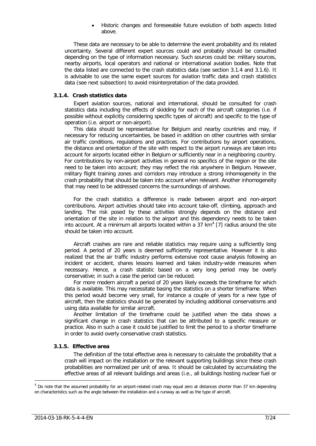• Historic changes and foreseeable future evolution of both aspects listed above.

These data are necessary to be able to determine the event probability and its related uncertainty. Several different expert sources could and probably should be consulted depending on the type of information necessary. Such sources could be: military sources, nearby airports, local operators and national or international aviation bodies. Note that the data listed are connected to the crash statistics data (see section [3.1.4](#page-7-0) and [3.1.6\)](#page-8-0). It is advisable to use the same expert sources for aviation traffic data and crash statistics data (see next subsection) to avoid misinterpretation of the data provided.

#### <span id="page-7-0"></span>**3.1.4. Crash statistics data**

Expert aviation sources, national and international, should be consulted for crash statistics data including the effects of skidding for each of the aircraft categories (i.e. if possible without explicitly considering specific types of aircraft) and specific to the type of operation (i.e. airport or non-airport).

This data should be representative for Belgium and nearby countries and may, if necessary for reducing uncertainties, be based in addition on other countries with similar air traffic conditions, regulations and practices. For contributions by airport operations, the distance and orientation of the site with respect to the airport runways are taken into account for airports located either in Belgium or sufficiently near in a neighboring country. For contributions by non-airport activities in general no specifics of the region or the site need to be taken into account; they may reflect the risk anywhere in Belgium. However, military flight training zones and corridors may introduce a strong inhomogeneity in the crash probability that should be taken into account when relevant. Another inhomogeneity that may need to be addressed concerns the surroundings of airshows.

For the crash statistics a difference is made between airport and non-airport contributions. Airport activities should take into account take-off, climbing, approach and landing. The risk posed by these activities strongly depends on the distance and orientation of the site in relation to the airport and this dependency needs to be taken into account. At a minimum all airports located within a 37 km<sup>[4](#page-7-2)</sup> [\[7\]](#page-16-7) radius around the site should be taken into account.

Aircraft crashes are rare and reliable statistics may require using a sufficiently long period. A period of 20 years is deemed sufficiently representative. However it is also realized that the air traffic industry performs extensive root cause analysis following an incident or accident, shares lessons learned and takes industry-wide measures when necessary. Hence, a crash statistic based on a very long period may be overly conservative; in such a case the period can be reduced.

For more modern aircraft a period of 20 years likely exceeds the timeframe for which data is available. This may necessitate basing the statistics on a shorter timeframe. When this period would become very small, for instance a couple of years for a new type of aircraft, then the statistics should be generated by including additional conservatisms and using data available for similar aircraft.

Another limitation of the timeframe could be justified when the data shows a significant change in crash statistics that can be attributed to a specific measure or practice. Also in such a case it could be justified to limit the period to a shorter timeframe in order to avoid overly conservative crash statistics.

#### <span id="page-7-1"></span>**3.1.5. Effective area**

The definition of the total effective area is necessary to calculate the probability that a crash will impact on the installation or the relevant supporting buildings since these crash probabilities are normalized per unit of area. It should be calculated by accumulating the effective areas of all relevant buildings and areas (i.e., all buildings hosting nuclear fuel or

<span id="page-7-2"></span> $4$  Do note that the assumed probability for an airport-related crash may equal zero at distances shorter than 37 km depending on characteristics such as the angle between the installation and a runway as well as the type of aircraft.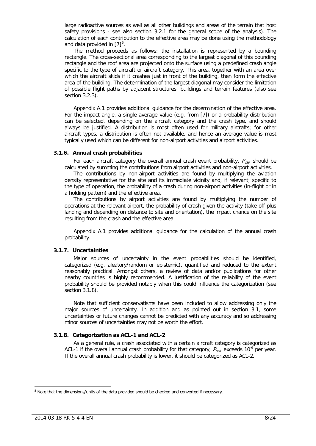large radioactive sources as well as all other buildings and areas of the terrain that host safety provisions - see also section [3.2.1](#page-10-1) for the general scope of the analysis). The calculation of each contribution to the effective area may be done using the methodology and data provided in  $[7]^5$  $[7]^5$  $[7]^5$ .

The method proceeds as follows: the installation is represented by a bounding rectangle. The cross-sectional area corresponding to the largest diagonal of this bounding rectangle and the roof area are projected onto the surface using a predefined crash angle specific to the type of aircraft or aircraft category. This area, together with an area over which the aircraft skids if it crashes just in front of the building, then form the effective area of the building. The determination of the largest diagonal may consider the limitation of possible flight paths by adjacent structures, buildings and terrain features (also see section [3.2.3\)](#page-11-0).

Appendix A.1 provides additional guidance for the determination of the effective area. For the impact angle, a single average value (e.g. from [\[7\]](#page-16-7)) or a probability distribution can be selected, depending on the aircraft category and the crash type, and should always be justified. A distribution is most often used for military aircrafts; for other aircraft types, a distribution is often not available, and hence an average value is most typically used which can be different for non-airport activities and airport activities.

#### <span id="page-8-0"></span>**3.1.6. Annual crash probabilities**

For each aircraft category the overall annual crash event probability,  $P_{cat}$  should be calculated by summing the contributions from airport activities and non-airport activities.

The contributions by non-airport activities are found by multiplying the aviation density representative for the site and its immediate vicinity and, if relevant, specific to the type of operation, the probability of a crash during non-airport activities (in-flight or in a holding pattern) and the effective area.

The contributions by airport activities are found by multiplying the number of operations at the relevant airport, the probability of crash given the activity (take-off plus landing and depending on distance to site and orientation), the impact chance on the site resulting from the crash and the effective area.

Appendix A.1 provides additional guidance for the calculation of the annual crash probability.

#### <span id="page-8-1"></span>**3.1.7. Uncertainties**

Major sources of uncertainty in the event probabilities should be identified, categorized (e.g. aleatory/random or epistemic), quantified and reduced to the extent reasonably practical. Amongst others, a review of data and/or publications for other nearby countries is highly recommended. A justification of the reliability of the event probability should be provided notably when this could influence the categorization (see section [3.1.8\)](#page-8-2).

Note that sufficient conservatisms have been included to allow addressing only the major sources of uncertainty. In addition and as pointed out in section [3.1,](#page-5-1) some uncertainties or future changes cannot be predicted with any accuracy and so addressing minor sources of uncertainties may not be worth the effort.

#### <span id="page-8-2"></span>**3.1.8. Categorization as ACL-1 and ACL-2**

As a general rule, a crash associated with a certain aircraft category is categorized as ACL-1 if the overall annual crash probability for that category,  $P_{cat}$  exceeds 10<sup>-6</sup> per year. If the overall annual crash probability is lower, it should be categorized as ACL-2.

<span id="page-8-3"></span> <sup>5</sup> Note that the dimensions/units of the data provided should be checked and converted if necessary.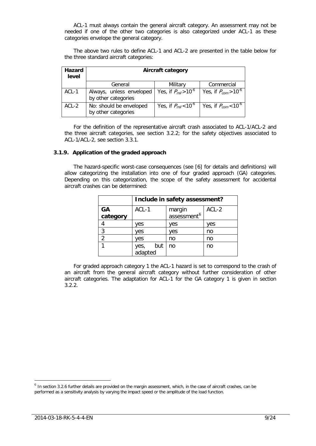ACL-1 must always contain the general aircraft category. An assessment may not be needed if one of the other two categories is also categorized under ACL-1 as these categories envelope the general category.

The above two rules to define ACL-1 and ACL-2 are presented in the table below for the three standard aircraft categories:

| <b>Hazard</b><br>level | <b>Aircraft category</b>                        |                                      |                                      |
|------------------------|-------------------------------------------------|--------------------------------------|--------------------------------------|
|                        | General                                         | Military                             | Commercial                           |
| ACL-1                  | Always, unless enveloped<br>by other categories | Yes, if $P_{mil} > 10^{-6}$          | Yes, if $P_{com} > 10^{-6}$          |
| $ACL-2$                | No: should be enveloped<br>by other categories  | Yes, if $P_{mil}$ < 10 <sup>-6</sup> | Yes, if $P_{com}$ < 10 <sup>-6</sup> |

For the definition of the representative aircraft crash associated to ACL-1/ACL-2 and the three aircraft categories, see section [3.2.2;](#page-10-2) for the safety objectives associated to ACL-1/ACL-2, see section [3.3.1.](#page-13-2)

#### <span id="page-9-0"></span>**3.1.9. Application of the graded approach**

The hazard-specific worst-case consequences (see [\[6\]](#page-16-3) for details and definitions) will allow categorizing the installation into one of four graded approach (GA) categories. Depending on this categorization, the scope of the safety assessment for accidental aircraft crashes can be determined:

|                | Include in safety assessment? |                         |       |
|----------------|-------------------------------|-------------------------|-------|
| GA             | ACL-1                         | margin                  | ACL-2 |
| category       |                               | assessment <sup>6</sup> |       |
|                | ves                           | ves                     | yes   |
| 3              | ves                           | ves                     | no    |
| $\overline{2}$ | ves                           | no                      | no    |
|                | but<br>yes, t<br>adapted      | no                      | no    |

For graded approach category 1 the ACL-1 hazard is set to correspond to the crash of an aircraft from the general aircraft category without further consideration of other aircraft categories. The adaptation for ACL-1 for the GA category 1 is given in section [3.2.2.](#page-10-2)

<span id="page-9-1"></span> $<sup>6</sup>$  In section [3.2.6](#page-13-0) further details are provided on the margin assessment, which, in the case of aircraft crashes, can be</sup> performed as a sensitivity analysis by varying the impact speed or the amplitude of the load function.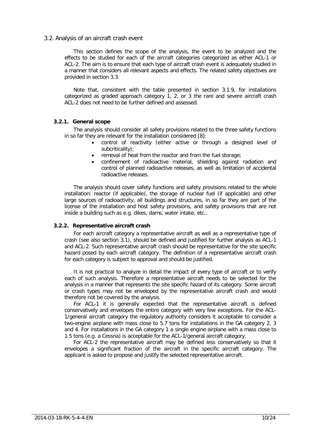#### <span id="page-10-0"></span>3.2. Analysis of an aircraft crash event

This section defines the scope of the analysis, the event to be analyzed and the effects to be studied for each of the aircraft categories categorized as either ACL-1 or ACL-2. The aim is to ensure that each type of aircraft crash event is adequately studied in a manner that considers all relevant aspects and effects. The related safety objectives are provided in section [3.3.](#page-13-1)

Note that, consistent with the table presented in section [3.1.9,](#page-9-0) for installations categorized as graded approach category 1, 2, or 3 the rare and severe aircraft crash ACL-2 does not need to be further defined and assessed.

## <span id="page-10-1"></span>**3.2.1. General scope**

The analysis should consider all safety provisions related to the three safety functions in so far they are relevant for the installation considered [\[8\]](#page-16-8):

- control of reactivity (either active or through a designed level of subcriticality);
- removal of heat from the reactor and from the fuel storage;
- confinement of radioactive material, shielding against radiation and control of planned radioactive releases, as well as limitation of accidental radioactive releases.

The analysis should cover safety functions and safety provisions related to the whole installation: reactor (if applicable), the storage of nuclear fuel (if applicable) and other large sources of radioactivity, all buildings and structures, in so far they are part of the license of the installation and host safety provisions, and safety provisions that are not inside a building such as e.g. dikes, dams, water intake, etc..

## <span id="page-10-2"></span>**3.2.2. Representative aircraft crash**

For each aircraft category a representative aircraft as well as a representative type of crash (see also section 3.1), should be defined and justified for further analysis as ACL-1 and ACL-2. Such representative aircraft crash should be representative for the site specific hazard posed by each aircraft category. The definition of a representative aircraft crash for each category is subject to approval and should be justified.

It is not practical to analyze in detail the impact of every type of aircraft or to verify each of such analysis. Therefore a representative aircraft needs to be selected for the analysis in a manner that represents the site specific hazard of its category. Some aircraft or crash types may not be enveloped by the representative aircraft crash and would therefore not be covered by the analysis.

For ACL-1 it is generally expected that the representative aircraft is defined conservatively and envelopes the entire category with very few exceptions. For the ACL-1/general aircraft category the regulatory authority considers it acceptable to consider a two-engine airplane with mass close to 5.7 tons for installations in the GA category 2, 3 and 4. For installations in the GA category 1 a single engine airplane with a mass close to 1.5 tons (e.g. a Cessna) is acceptable for the ACL-1/general aircraft category.

For ACL-2 the representative aircraft may be defined less conservatively so that it envelopes a significant fraction of the aircraft in the specific aircraft category. The applicant is asked to propose and justify the selected representative aircraft.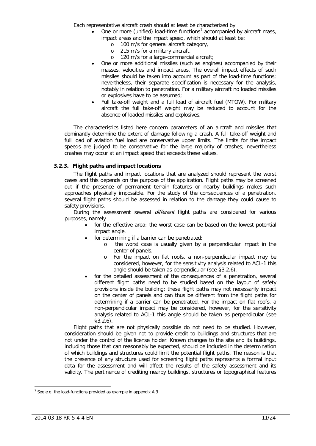Each representative aircraft crash should at least be characterized by:

- One or more (unified) load-time functions<sup>[7](#page-11-1)</sup> accompanied by aircraft mass, impact areas and the impact speed, which should at least be:
	- o 100 m/s for general aircraft category,<br>o 215 m/s for a military aircraft,
	- 215 m/s for a military aircraft,
	- o 120 m/s for a large-commercial aircraft;
	- One or more additional missiles (such as engines) accompanied by their masses, velocities and impact areas. The overall impact effects of such missiles should be taken into account as part of the load-time functions; nevertheless, their separate specification is necessary for the analysis, notably in relation to penetration. For a military aircraft no loaded missiles or explosives have to be assumed;
	- Full take-off weight and a full load of aircraft fuel (MTOW). For military aircraft the full take-off weight may be reduced to account for the absence of loaded missiles and explosives.

The characteristics listed here concern parameters of an aircraft and missiles that dominantly determine the extent of damage following a crash. A full take-off weight and full load of aviation fuel load are conservative upper limits. The limits for the impact speeds are judged to be conservative for the large majority of crashes; nevertheless crashes may occur at an impact speed that exceeds these values.

## <span id="page-11-0"></span>**3.2.3. Flight paths and impact locations**

The flight paths and impact locations that are analyzed should represent the worst cases and this depends on the purpose of the application. Flight paths may be screened out if the presence of permanent terrain features or nearby buildings makes such approaches physically impossible. For the study of the consequences of a penetration, several flight paths should be assessed in relation to the damage they could cause to safety provisions.

During the assessment several *different* flight paths are considered for various purposes, namely

- for the effective area: the worst case can be based on the lowest potential impact angle.
- for determining if a barrier can be penetrated:
	- o the worst case is usually given by a perpendicular impact in the center of panels.
	- o For the impact on flat roofs, a non-perpendicular impact may be considered, however, for the sensitivity analysis related to ACL-1 this angle should be taken as perpendicular (see [§3.2.6\)](#page-13-0).
- for the detailed assessment of the consequences of a penetration, several different flight paths need to be studied based on the layout of safety provisions inside the building; these flight paths may not necessarily impact on the center of panels and can thus be different from the flight paths for determining if a barrier can be penetrated. For the impact on flat roofs, a non-perpendicular impact may be considered, however, for the sensitivity analysis related to ACL-1 this angle should be taken as perpendicular (see [§3.2.6\)](#page-13-0).

Flight paths that are not physically possible do not need to be studied. However, consideration should be given not to provide credit to buildings and structures that are not under the control of the license holder. Known changes to the site and its buildings, including those that can reasonably be expected, should be included in the determination of which buildings and structures could limit the potential flight paths. The reason is that the presence of any structure used for screening flight paths represents a formal input data for the assessment and will affect the results of the safety assessment and its validity. The pertinence of crediting nearby buildings, structures or topographical features

<span id="page-11-1"></span> $<sup>7</sup>$  See e.g. the load-functions provided as example in appendix A.3</sup>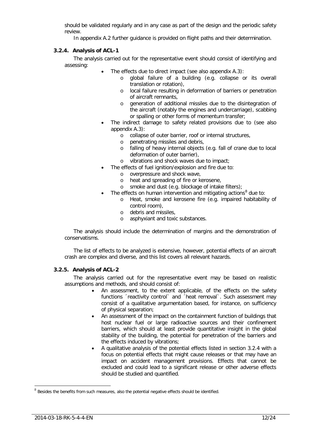should be validated regularly and in any case as part of the design and the periodic safety review.

In appendix A.2 further guidance is provided on flight paths and their determination.

## <span id="page-12-0"></span>**3.2.4. Analysis of ACL-1**

The analysis carried out for the representative event should consist of identifying and assessing:

- The effects due to direct impact (see also appendix A.3):
	- o global failure of a building (e.g. collapse or its overall translation or rotation),
	- o local failure resulting in deformation of barriers or penetration of aircraft remnants,
	- o generation of additional missiles due to the disintegration of the aircraft (notably the engines and undercarriage), scabbing or spalling or other forms of momentum transfer;
- The indirect damage to safety related provisions due to (see also appendix A.3):
	- o collapse of outer barrier, roof or internal structures,
	- o penetrating missiles and debris,
	- o falling of heavy internal objects (e.g. fall of crane due to local deformation of outer barrier),
	- o vibrations and shock waves due to impact;
	- The effects of fuel ignition/explosion and fire due to:
		- o overpressure and shock wave,
		- o heat and spreading of fire or kerosene,
		- o smoke and dust (e.g. blockage of intake filters);
	- The effects on human intervention and mitigating actions $<sup>8</sup>$  $<sup>8</sup>$  $<sup>8</sup>$  due to:</sup>
		- o Heat, smoke and kerosene fire (e.g. impaired habitability of control room),
		- o debris and missiles,
		- o asphyxiant and toxic substances.

The analysis should include the determination of margins and the demonstration of conservatisms.

The list of effects to be analyzed is extensive, however, potential effects of an aircraft crash are complex and diverse, and this list covers all relevant hazards.

# <span id="page-12-1"></span>**3.2.5. Analysis of ACL-2**

The analysis carried out for the representative event may be based on realistic assumptions and methods, and should consist of:

- An assessment, to the extent applicable, of the effects on the safety functions ´reactivity control` and ´heat removal`. Such assessment may consist of a qualitative argumentation based, for instance, on sufficiency of physical separation;
- An assessment of the impact on the containment function of buildings that host nuclear fuel or large radioactive sources and their confinement barriers, which should at least provide quantitative insight in the global stability of the building, the potential for penetration of the barriers and the effects induced by vibrations;
- A qualitative analysis of the potential effects listed in section [3.2.4](#page-12-0) with a focus on potential effects that might cause releases or that may have an impact on accident management provisions. Effects that cannot be excluded and could lead to a significant release or other adverse effects should be studied and quantified.

<span id="page-12-2"></span> $8$  Besides the benefits from such measures, also the potential negative effects should be identified.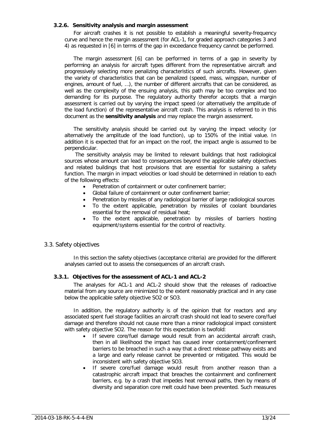#### <span id="page-13-0"></span>**3.2.6. Sensitivity analysis and margin assessment**

For aircraft crashes it is not possible to establish a meaningful severity-frequency curve and hence the margin assessment (for ACL-1, for graded approach categories 3 and 4) as requested in [\[6\]](#page-16-3) in terms of the gap in exceedance frequency cannot be performed.

The margin assessment [\[6\]](#page-16-3) can be performed in terms of a gap in severity by performing an analysis for aircraft types different from the representative aircraft and progressively selecting more penalizing characteristics of such aircrafts. However, given the variety of characteristics that can be penalized (speed, mass, wingspan, number of engines, amount of fuel, …), the number of different aircrafts that can be considered, as well as the complexity of the ensuing analysis, this path may be too complex and too demanding for its purpose. The regulatory authority therefor accepts that a margin assessment is carried out by varying the impact speed (or alternatively the amplitude of the load function) of the representative aircraft crash. This analysis is referred to in this document as the **sensitivity analysis** and may replace the margin assessment.

The sensitivity analysis should be carried out by varying the impact velocity (or alternatively the amplitude of the load function), up to 150% of the initial value. In addition it is expected that for an impact on the roof, the impact angle is assumed to be perpendicular.

The sensitivity analysis may be limited to relevant buildings that host radiological sources whose amount can lead to consequences beyond the applicable safety objectives and related buildings that host provisions that are essential for sustaining a safety function. The margin in impact velocities or load should be determined in relation to each of the following effects:

- Penetration of containment or outer confinement barrier;
- Global failure of containment or outer confinement barrier;
- Penetration by missiles of any radiological barrier of large radiological sources
- To the extent applicable, penetration by missiles of coolant boundaries essential for the removal of residual heat;
- To the extent applicable, penetration by missiles of barriers hosting equipment/systems essential for the control of reactivity.

## <span id="page-13-1"></span>3.3. Safety objectives

In this section the safety objectives (acceptance criteria) are provided for the different analyses carried out to assess the consequences of an aircraft crash.

#### <span id="page-13-2"></span>**3.3.1. Objectives for the assessment of ACL-1 and ACL-2**

The analyses for ACL-1 and ACL-2 should show that the releases of radioactive material from any source are minimized to the extent reasonably practical and in any case below the applicable safety objective SO2 or SO3.

In addition, the regulatory authority is of the opinion that for reactors and any associated spent fuel storage facilities an aircraft crash should not lead to severe core/fuel damage and therefore should not cause more than a minor radiological impact consistent with safety objective SO2. The reason for this expectation is twofold:

- If severe core/fuel damage would result from an accidental aircraft crash, then in all likelihood the impact has caused inner containment/confinement barriers to be breached in such a way that a direct release pathway exists and a large and early release cannot be prevented or mitigated. This would be inconsistent with safety objective SO3.
- If severe core/fuel damage would result from another reason than a catastrophic aircraft impact that breaches the containment and confinement barriers, e.g. by a crash that impedes heat removal paths, then by means of diversity and separation core melt could have been prevented. Such measures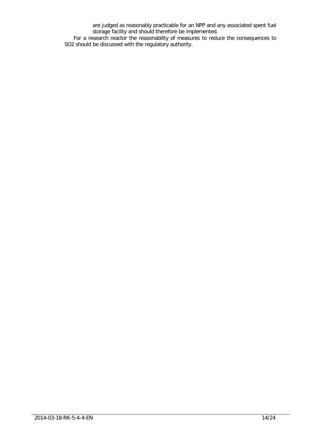are judged as reasonably practicable for an NPP and any associated spent fuel storage facility and should therefore be implemented.

For a research reactor the reasonability of measures to reduce the consequences to SO2 should be discussed with the regulatory authority.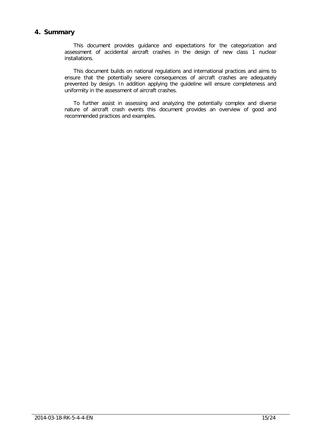# <span id="page-15-0"></span>**4. Summary**

This document provides guidance and expectations for the categorization and assessment of accidental aircraft crashes in the design of new class 1 nuclear installations.

This document builds on national regulations and international practices and aims to ensure that the potentially severe consequences of aircraft crashes are adequately prevented by design. In addition applying the guideline will ensure completeness and uniformity in the assessment of aircraft crashes.

To further assist in assessing and analyzing the potentially complex and diverse nature of aircraft crash events this document provides an overview of good and recommended practices and examples.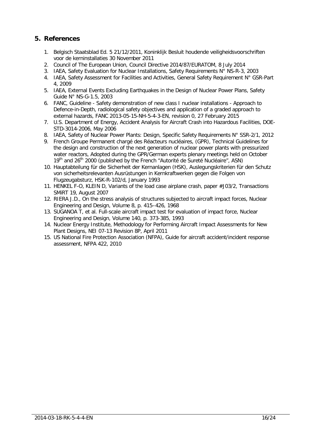# <span id="page-16-0"></span>**5. References**

- <span id="page-16-2"></span>1. Belgisch Staatsblad Ed. 5 21/12/2011, Koninklijk Besluit houdende veiligheidsvoorschriften voor de kerninstallaties 30 November 2011
- <span id="page-16-1"></span>2. Council of The European Union, Council Directive 2014/87/EURATOM, 8 July 2014
- <span id="page-16-4"></span>3. IAEA, Safety Evaluation for Nuclear Installations, Safety Requirements N° NS-R-3, 2003
- <span id="page-16-5"></span>4. IAEA, Safety Assessment for Facilities and Activities, General Safety Requirement N° GSR-Part 4, 2009
- <span id="page-16-6"></span>5. IAEA, External Events Excluding Earthquakes in the Design of Nuclear Power Plans, Safety Guide N° NS-G-1.5, 2003
- <span id="page-16-3"></span>6. FANC, Guideline - Safety demonstration of new class I nuclear installations - Approach to Defence-in-Depth, radiological safety objectives and application of a graded approach to external hazards, FANC 2013-05-15-NH-5-4-3-EN, revision 0, 27 February 2015
- <span id="page-16-7"></span>7. U.S. Department of Energy, Accident Analysis for Aircraft Crash into Hazardous Facilities, DOE-STD-3014-2006, May 2006
- <span id="page-16-8"></span>8. IAEA, Safety of Nuclear Power Plants: Design, Specific Safety Requirements N° SSR-2/1, 2012
- <span id="page-16-13"></span>9. French Groupe Permanent chargé des Réacteurs nucléaires, (GPR), Technical Guidelines for the design and construction of the next generation of nuclear power plants with pressurized water reactors, Adopted during the GPR/German experts plenary meetings held on October 19<sup>th</sup> and 26<sup>th</sup> 2000 (published by the French "Autorité de Sureté Nucléaire", ASN)
- 10. Hauptabteilung für die Sicherheit der Kernanlagen (HSK), Auslegungskriterien für den Schutz von sicherheitsrelevanten Ausrüstungen in Kernkraftwerken gegen die Folgen von Flugzeugabsturz, HSK-R-102/d, January 1993
- <span id="page-16-9"></span>11. HENKEL F-O, KLEIN D, Variants of the load case airplane crash, paper #J03/2, Transactions SMiRT 19, August 2007
- <span id="page-16-11"></span>12. RIERA J.D., On the stress analysis of structures subjected to aircraft impact forces, Nuclear Engineering and Design, Volume 8, p. 415–426, 1968
- <span id="page-16-12"></span>13. SUGANOA T, et al. Full-scale aircraft impact test for evaluation of impact force, Nuclear Engineering and Design, Volume 140, p. 373-385, 1993
- <span id="page-16-10"></span>14. Nuclear Energy Institute, Methodology for Performing Aircraft Impact Assessments for New Plant Designs, NEI 07-13 Revision 8P, April 2011
- 15. US National Fire Protection Association (NFPA), Guide for aircraft accident/incident response assessment, NFPA 422, 2010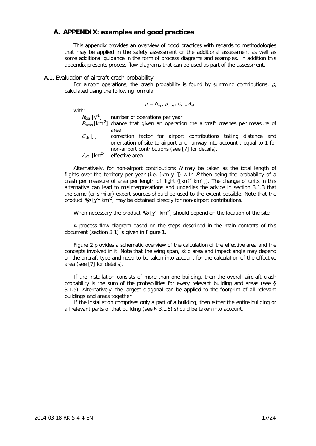# <span id="page-17-0"></span>**A. APPENDIX: examples and good practices**

This appendix provides an overview of good practices with regards to methodologies that may be applied in the safety assessment or the additional assessment as well as some additional guidance in the form of process diagrams and examples. In addition this appendix presents process flow diagrams that can be used as part of the assessment.

#### <span id="page-17-1"></span>A.1. Evaluation of aircraft crash probability

For airport operations, the crash probability is found by summing contributions,  $p$ , calculated using the following formula:

$$
p = N_{\rm ops} \, p_{\rm crash} \, C_{\rm site} \, A_{\rm eff}
$$

with:

 $N_{\text{obs}}$  [y<sup>-1</sup>] number of operations per year

- $P_{\text{crash}}$  [km<sup>-2</sup>] chance that given an operation the aircraft crashes per measure of area
- $C_{site}$  [ ] correction factor for airport contributions taking distance and orientation of site to airport and runway into account ; equal to 1 for non-airport contributions (see [\[7\]](#page-16-7) for details).
- $A<sub>eff</sub>$  [km<sup>2</sup>] effective area

Alternatively, for non-airport contributions  $N$  may be taken as the total length of flights over the territory per year (i.e. [km y<sup>-1</sup>]) with  $P$  then being the probability of a crash per measure of area per length of flight ( $\text{[km$^2$ km$^1$]}$ ). The change of units in this alternative can lead to misinterpretations and underlies the advice in section [3.1.3](#page-6-2) that the same (or similar) expert sources should be used to the extent possible. Note that the product  $Np$  [y<sup>-1</sup> km<sup>-2</sup>] may be obtained directly for non-airport contributions.

When necessary the product  $N\rho$  [y<sup>-1</sup> km<sup>-2</sup>] should depend on the location of the site.

A process flow diagram based on the steps described in the main contents of this document (section [3.1\)](#page-5-1) is given in [Figure 1.](#page-18-0)

[Figure 2](#page-18-1) provides a schematic overview of the calculation of the effective area and the concepts involved in it. Note that the wing span, skid area and impact angle may depend on the aircraft type and need to be taken into account for the calculation of the effective area (see [\[7\]](#page-16-7) for details).

If the installation consists of more than one building, then the overall aircraft crash probability is the sum of the probabilities for every relevant building and areas (see § 3.1.5). Alternatively, the largest diagonal can be applied to the footprint of all relevant buildings and areas together.

If the installation comprises only a part of a building, then either the entire building or all relevant parts of that building (see § 3.1.5) should be taken into account.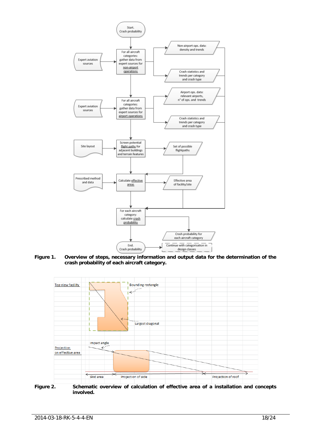

<span id="page-18-0"></span>**Figure 1. Overview of steps, necessary information and output data for the determination of the crash probability of each aircraft category.**



<span id="page-18-1"></span>**Figure 2. Schematic overview of calculation of effective area of a installation and concepts involved.**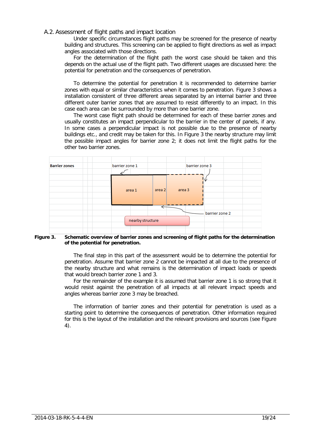#### <span id="page-19-0"></span>A.2. Assessment of flight paths and impact location

Under specific circumstances flight paths may be screened for the presence of nearby building and structures. This screening can be applied to flight directions as well as impact angles associated with those directions.

For the determination of the flight path the worst case should be taken and this depends on the actual use of the flight path. Two different usages are discussed here: the potential for penetration and the consequences of penetration.

To determine the potential for penetration it is recommended to determine barrier zones with equal or similar characteristics when it comes to penetration. [Figure 3](#page-19-1) shows a installation consistent of three different areas separated by an internal barrier and three different outer barrier zones that are assumed to resist differently to an impact. In this case each area can be surrounded by more than one barrier zone.

The worst case flight path should be determined for each of these barrier zones and usually constitutes an impact perpendicular to the barrier in the center of panels, if any. In some cases a perpendicular impact is not possible due to the presence of nearby buildings etc., and credit may be taken for this. In [Figure 3](#page-19-1) the nearby structure may limit the possible impact angles for barrier zone 2; it does not limit the flight paths for the other two barrier zones.



#### <span id="page-19-1"></span> **Figure 3. Schematic overview of barrier zones and screening of flight paths for the determination of the potential for penetration.**

The final step in this part of the assessment would be to determine the potential for penetration. Assume that barrier zone 2 cannot be impacted at all due to the presence of the nearby structure and what remains is the determination of impact loads or speeds that would breach barrier zone 1 and 3.

For the remainder of the example it is assumed that barrier zone 1 is so strong that it would resist against the penetration of all impacts at all relevant impact speeds and angles whereas barrier zone 3 may be breached.

The information of barrier zones and their potential for penetration is used as a starting point to determine the consequences of penetration. Other information required for this is the layout of the installation and the relevant provisions and sources (see [Figure](#page-20-1)  [4\)](#page-20-1).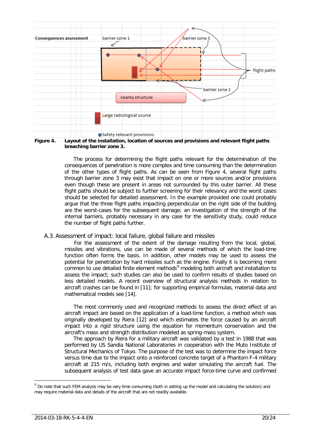

<span id="page-20-1"></span>**Figure 4. Layout of the installation, location of sources and provisions and relevant flight paths breaching barrier zone 3.**

The process for determining the flight paths relevant for the determination of the consequences of penetration is more complex and time consuming than the determination of the other types of flight paths. As can be seen from Figure 4, several flight paths through barrier zone 3 may exist that impact on one or more sources and/or provisions even though these are present in areas not surrounded by this outer barrier. All these flight paths should be subject to further screening for their relevancy and the worst cases should be selected for detailed assessment. In the example provided one could probably argue that the three flight paths impacting perpendicular on the right side of the building are the worst-cases for the subsequent damage; an investigation of the strength of the internal barriers, probably necessary in any case for the sensitivity study, could reduce the number of flight paths further.

<span id="page-20-0"></span>A.3. Assessment of impact: local failure, global failure and missiles

For the assessment of the extent of the damage resulting from the local, global, missiles and vibrations, use can be made of several methods of which the load-time function often forms the basis. In addition, other models may be used to assess the potential for penetration by hard missiles such as the engine. Finally it is becoming more common to use detailed finite element methods<sup>[9](#page-20-2)</sup> modeling both aircraft and installation to assess the impact; such studies can also be used to confirm results of studies based on less detailed models. A recent overview of structural analysis methods in relation to aircraft crashes can be found in [\[11\]](#page-16-9); for supporting empirical formulas, material data and mathematical models see [\[14\]](#page-16-10).

The most commonly used and recognized methods to assess the direct effect of an aircraft impact are based on the application of a load-time function, a method which was originally developed by Riera [\[12\]](#page-16-11) and which estimates the force caused by an aircraft impact into a rigid structure using the equation for momentum conservation and the aircraft's mass and strength distribution modeled as spring-mass system.

The approach by Riera for a military aircraft was validated by a test in 1988 that was performed by US Sandia National Laboratories in cooperation with the Muto Institute of Structural Mechanics of Tokyo. The purpose of the test was to determine the impact force versus time due to the impact onto a reinforced concrete target of a Phantom F-4 military aircraft at 215 m/s, including both engines and water simulating the aircraft fuel. The subsequent analysis of test data gave an accurate impact force-time curve and confirmed

<span id="page-20-2"></span> $9$  Do note that such FEM analysis may be very time consuming (both in setting up the model and calculating the solution) and may require material data and details of the aircraft that are not readily available.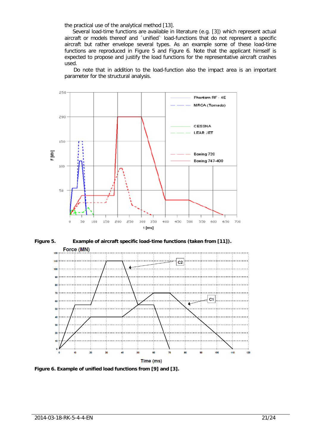the practical use of the analytical method [\[13\]](#page-16-12).

Several load-time functions are available in literature (e.g. [\[3\]](#page-16-4)) which represent actual aircraft or models thereof and ´unified` load-functions that do not represent a specific aircraft but rather envelope several types. As an example some of these load-time functions are reproduced in [Figure 5](#page-21-0) and [Figure 6.](#page-21-1) Note that the applicant himself is expected to propose and justify the load functions for the representative aircraft crashes used.

Do note that in addition to the load-function also the impact area is an important parameter for the structural analysis.



<span id="page-21-0"></span>**Figure 5. Example of aircraft specific load-time functions (taken from [\[11\]](#page-16-9)).** Force (MN)  $120$  $110$  $C<sub>2</sub>$  $10<sup>0</sup>$ 90  $\overline{a}$  $\overline{7}$  $C<sub>1</sub>$ **C** к. 40 30  $\overline{20}$ 50 60 110 100 Time (ms)

<span id="page-21-1"></span>**Figure 6. Example of unified load functions from [\[9\]](#page-16-13) and [\[3\]](#page-16-4).**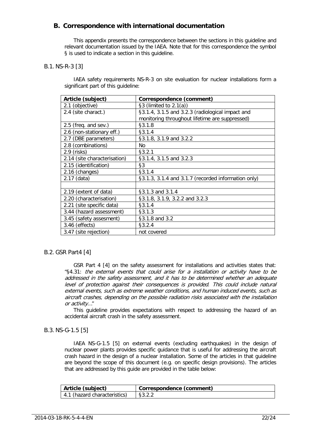# <span id="page-22-0"></span>**B. Correspondence with international documentation**

This appendix presents the correspondence between the sections in this guideline and relevant documentation issued by the IAEA. Note that for this correspondence the symbol § is used to indicate a section in this guideline.

## <span id="page-22-1"></span>B.1. NS-R-3 [\[3\]](#page-16-4)

IAEA safety requirements NS-R-3 on site evaluation for nuclear installations form a significant part of this guideline:

| Article (subject)            | Correspondence (comment)                            |  |
|------------------------------|-----------------------------------------------------|--|
| 2.1 (objective)              | $\S3$ (limited to 2.1(a))                           |  |
| 2.4 (site charact.)          | §3.1.4, 3.1.5 and 3.2.3 (radiological impact and    |  |
|                              | monitoring throughout lifetime are suppressed)      |  |
| $2.5$ (freq. and sev.)       | §3.1.8                                              |  |
| 2.6 (non-stationary eff.)    | §3.1.4                                              |  |
| 2.7 (DBE parameters)         | §3.1.8, 3.1.9 and 3.2.2                             |  |
| 2.8 (combinations)           | No.                                                 |  |
| $2.9$ (risks)                | §3.2.1                                              |  |
| 2.14 (site characterisation) | §3.1.4, 3.1.5 and 3.2.3                             |  |
| 2.15 (identification)        | $\S3$                                               |  |
| 2.16 (changes)               | §3.1.4                                              |  |
| $2.17$ (data)                | §3.1.3, 3.1.4 and 3.1.7 (recorded information only) |  |
|                              |                                                     |  |
| 2.19 (extent of data)        | §3.1.3 and 3.1.4                                    |  |
| 2.20 (characterisation)      | §3.1.8, 3.1.9, 3.2.2 and 3.2.3                      |  |
| 2.21 (site specific data)    | §3.1.4                                              |  |
| 3.44 (hazard assessment)     | §3.1.3                                              |  |
| 3.45 (safety assesment)      | §3.1.8 and 3.2                                      |  |
| 3.46 (effects)               | §3.2.4                                              |  |
| 3.47 (site rejection)        | not covered                                         |  |

# <span id="page-22-2"></span>B.2. GSR Part4 [\[4\]](#page-16-5)

GSR Part 4 [\[4\]](#page-16-5) on the safety assessment for installations and activities states that: "§4.31: the external events that could arise for a installation or activity have to be addressed in the safety assessment, and it has to be determined whether an adequate level of protection against their consequences is provided. This could include natural external events, such as extreme weather conditions, and human induced events, such as aircraft crashes, depending on the possible radiation risks associated with the installation or activity…"

This guideline provides expectations with respect to addressing the hazard of an accidental aircraft crash in the safety assessment.

# <span id="page-22-3"></span>B.3. NS-G-1.5 [\[5\]](#page-16-6)

IAEA NS-G-1.5 [\[5\]](#page-16-6) on external events (excluding earthquakes) in the design of nuclear power plants provides specific guidance that is useful for addressing the aircraft crash hazard in the design of a nuclear installation. Some of the articles in that guideline are beyond the scope of this document (e.g. on specific design provisions). The articles that are addressed by this guide are provided in the table below:

| Article (subject)            | Correspondence (comment) |
|------------------------------|--------------------------|
| 4.1 (hazard characteristics) |                          |